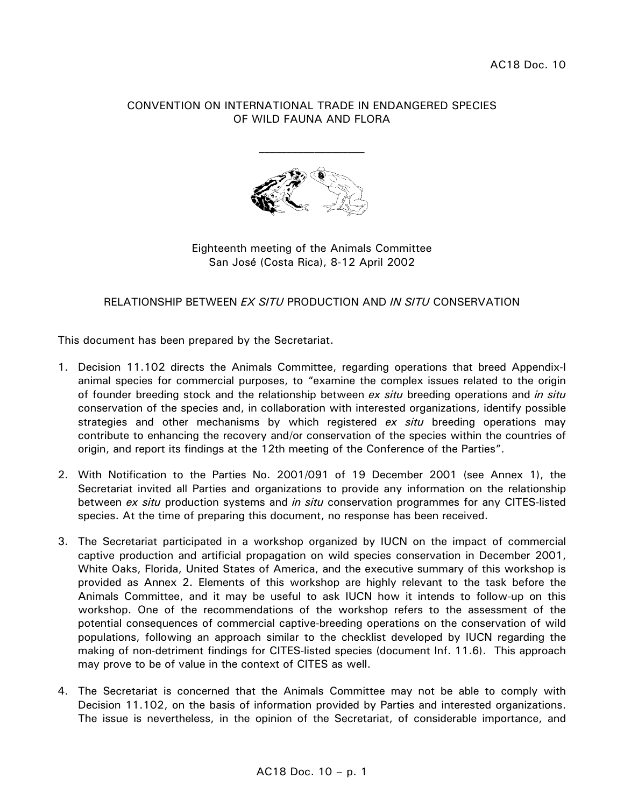#### CONVENTION ON INTERNATIONAL TRADE IN ENDANGERED SPECIES OF WILD FAUNA AND FLORA



#### Eighteenth meeting of the Animals Committee San José (Costa Rica), 8-12 April 2002

### RELATIONSHIP BETWEEN *EX SITU* PRODUCTION AND *IN SITU* CONSERVATION

This document has been prepared by the Secretariat.

- 1. Decision 11.102 directs the Animals Committee, regarding operations that breed Appendix-I animal species for commercial purposes, to "examine the complex issues related to the origin of founder breeding stock and the relationship between *ex situ* breeding operations and *in situ* conservation of the species and, in collaboration with interested organizations, identify possible strategies and other mechanisms by which registered *ex situ* breeding operations may contribute to enhancing the recovery and/or conservation of the species within the countries of origin, and report its findings at the 12th meeting of the Conference of the Parties".
- 2. With Notification to the Parties No. 2001/091 of 19 December 2001 (see Annex 1), the Secretariat invited all Parties and organizations to provide any information on the relationship between *ex situ* production systems and *in situ* conservation programmes for any CITES-listed species. At the time of preparing this document, no response has been received.
- 3. The Secretariat participated in a workshop organized by IUCN on the impact of commercial captive production and artificial propagation on wild species conservation in December 2001, White Oaks, Florida, United States of America, and the executive summary of this workshop is provided as Annex 2. Elements of this workshop are highly relevant to the task before the Animals Committee, and it may be useful to ask IUCN how it intends to follow-up on this workshop. One of the recommendations of the workshop refers to the assessment of the potential consequences of commercial captive-breeding operations on the conservation of wild populations, following an approach similar to the checklist developed by IUCN regarding the making of non-detriment findings for CITES-listed species (document Inf. 11.6). This approach may prove to be of value in the context of CITES as well.
- 4. The Secretariat is concerned that the Animals Committee may not be able to comply with Decision 11.102, on the basis of information provided by Parties and interested organizations. The issue is nevertheless, in the opinion of the Secretariat, of considerable importance, and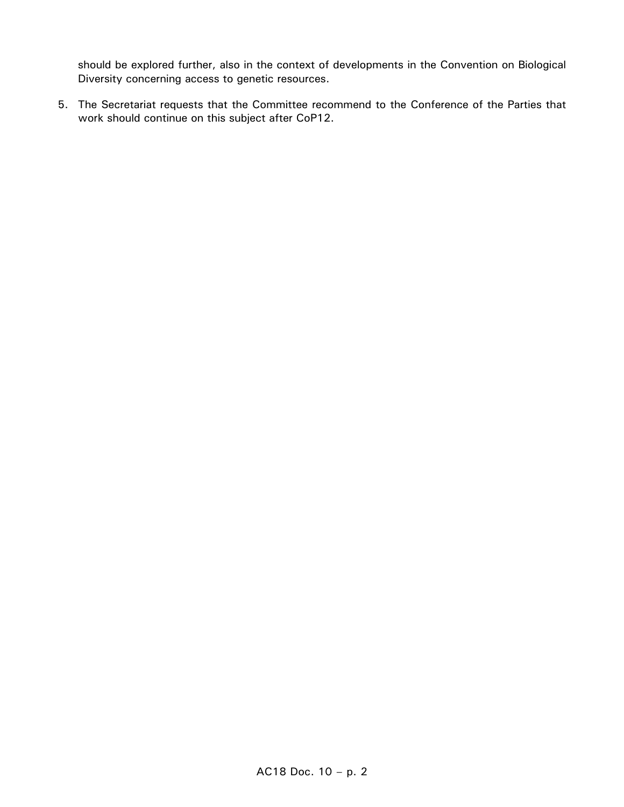should be explored further, also in the context of developments in the Convention on Biological Diversity concerning access to genetic resources.

5. The Secretariat requests that the Committee recommend to the Conference of the Parties that work should continue on this subject after CoP12.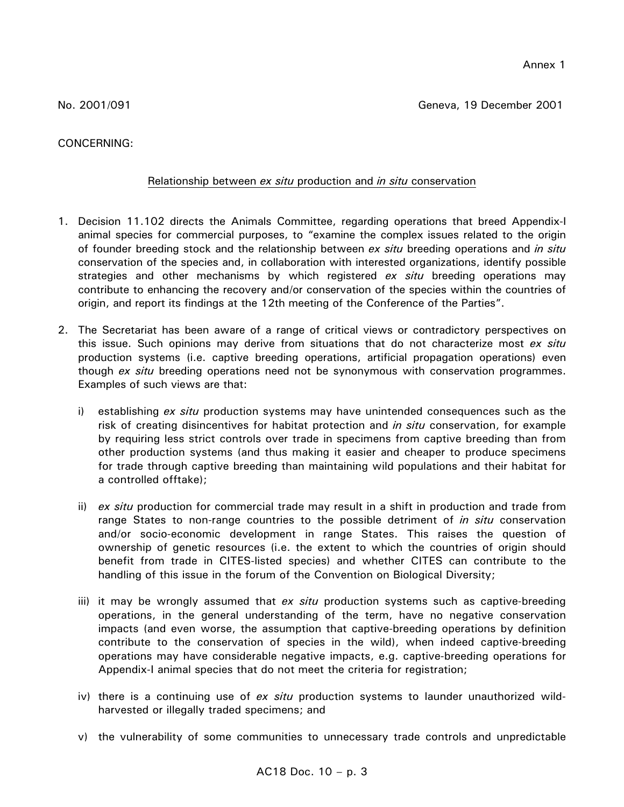CONCERNING:

# Relationship between *ex situ* production and *in situ* conservation

- 1. Decision 11.102 directs the Animals Committee, regarding operations that breed Appendix-I animal species for commercial purposes, to "examine the complex issues related to the origin of founder breeding stock and the relationship between *ex situ* breeding operations and *in situ* conservation of the species and, in collaboration with interested organizations, identify possible strategies and other mechanisms by which registered *ex situ* breeding operations may contribute to enhancing the recovery and/or conservation of the species within the countries of origin, and report its findings at the 12th meeting of the Conference of the Parties".
- 2. The Secretariat has been aware of a range of critical views or contradictory perspectives on this issue. Such opinions may derive from situations that do not characterize most *ex situ* production systems (i.e. captive breeding operations, artificial propagation operations) even though *ex situ* breeding operations need not be synonymous with conservation programmes. Examples of such views are that:
	- i) establishing *ex situ* production systems may have unintended consequences such as the risk of creating disincentives for habitat protection and *in situ* conservation, for example by requiring less strict controls over trade in specimens from captive breeding than from other production systems (and thus making it easier and cheaper to produce specimens for trade through captive breeding than maintaining wild populations and their habitat for a controlled offtake);
	- ii) *ex situ* production for commercial trade may result in a shift in production and trade from range States to non-range countries to the possible detriment of *in situ* conservation and/or socio-economic development in range States. This raises the question of ownership of genetic resources (i.e. the extent to which the countries of origin should benefit from trade in CITES-listed species) and whether CITES can contribute to the handling of this issue in the forum of the Convention on Biological Diversity;
	- iii) it may be wrongly assumed that *ex situ* production systems such as captive-breeding operations, in the general understanding of the term, have no negative conservation impacts (and even worse, the assumption that captive-breeding operations by definition contribute to the conservation of species in the wild), when indeed captive-breeding operations may have considerable negative impacts, e.g. captive-breeding operations for Appendix-I animal species that do not meet the criteria for registration;
	- iv) there is a continuing use of *ex situ* production systems to launder unauthorized wildharvested or illegally traded specimens; and
	- v) the vulnerability of some communities to unnecessary trade controls and unpredictable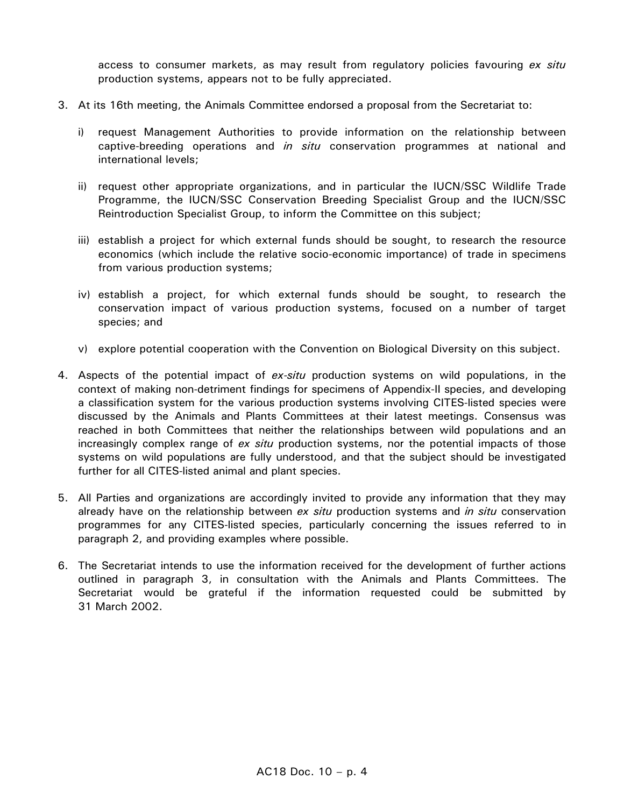access to consumer markets, as may result from regulatory policies favouring *ex situ* production systems, appears not to be fully appreciated.

- 3. At its 16th meeting, the Animals Committee endorsed a proposal from the Secretariat to:
	- i) request Management Authorities to provide information on the relationship between captive-breeding operations and *in situ* conservation programmes at national and international levels;
	- ii) request other appropriate organizations, and in particular the IUCN/SSC Wildlife Trade Programme, the IUCN/SSC Conservation Breeding Specialist Group and the IUCN/SSC Reintroduction Specialist Group, to inform the Committee on this subject;
	- iii) establish a project for which external funds should be sought, to research the resource economics (which include the relative socio-economic importance) of trade in specimens from various production systems;
	- iv) establish a project, for which external funds should be sought, to research the conservation impact of various production systems, focused on a number of target species; and
	- v) explore potential cooperation with the Convention on Biological Diversity on this subject.
- 4. Aspects of the potential impact of *ex-situ* production systems on wild populations, in the context of making non-detriment findings for specimens of Appendix-II species, and developing a classification system for the various production systems involving CITES-listed species were discussed by the Animals and Plants Committees at their latest meetings. Consensus was reached in both Committees that neither the relationships between wild populations and an increasingly complex range of *ex situ* production systems, nor the potential impacts of those systems on wild populations are fully understood, and that the subject should be investigated further for all CITES-listed animal and plant species.
- 5. All Parties and organizations are accordingly invited to provide any information that they may already have on the relationship between *ex situ* production systems and *in situ* conservation programmes for any CITES-listed species, particularly concerning the issues referred to in paragraph 2, and providing examples where possible.
- 6. The Secretariat intends to use the information received for the development of further actions outlined in paragraph 3, in consultation with the Animals and Plants Committees. The Secretariat would be grateful if the information requested could be submitted by 31 March 2002.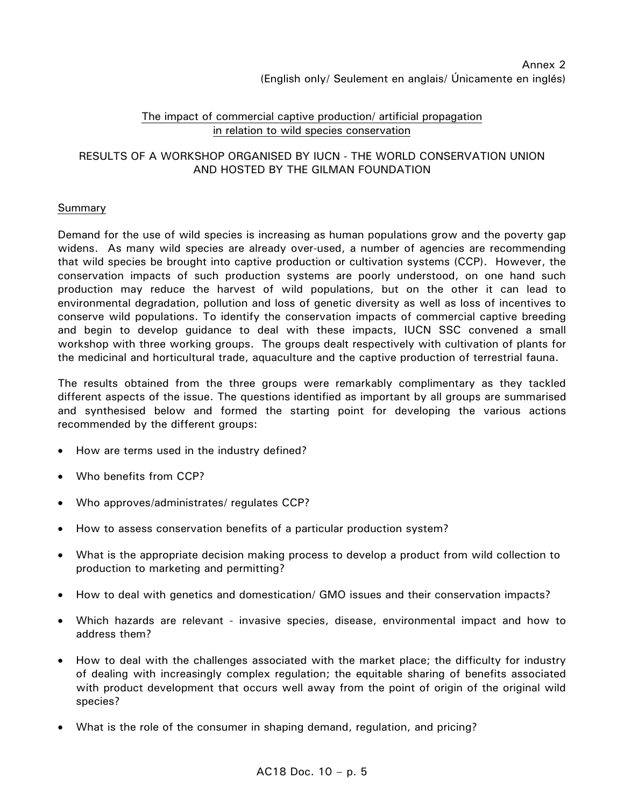### The impact of commercial captive production/ artificial propagation in relation to wild species conservation

### RESULTS OF A WORKSHOP ORGANISED BY IUCN - THE WORLD CONSERVATION UNION AND HOSTED BY THE GILMAN FOUNDATION

## Summary

Demand for the use of wild species is increasing as human populations grow and the poverty gap widens. As many wild species are already over-used, a number of agencies are recommending that wild species be brought into captive production or cultivation systems (CCP). However, the conservation impacts of such production systems are poorly understood, on one hand such production may reduce the harvest of wild populations, but on the other it can lead to environmental degradation, pollution and loss of genetic diversity as well as loss of incentives to conserve wild populations. To identify the conservation impacts of commercial captive breeding and begin to develop guidance to deal with these impacts, IUCN SSC convened a small workshop with three working groups. The groups dealt respectively with cultivation of plants for the medicinal and horticultural trade, aquaculture and the captive production of terrestrial fauna.

The results obtained from the three groups were remarkably complimentary as they tackled different aspects of the issue. The questions identified as important by all groups are summarised and synthesised below and formed the starting point for developing the various actions recommended by the different groups:

- How are terms used in the industry defined?
- Who benefits from CCP?
- Who approves/administrates/ regulates CCP?
- How to assess conservation benefits of a particular production system?
- What is the appropriate decision making process to develop a product from wild collection to production to marketing and permitting?
- How to deal with genetics and domestication/ GMO issues and their conservation impacts?
- Which hazards are relevant invasive species, disease, environmental impact and how to address them?
- How to deal with the challenges associated with the market place; the difficulty for industry of dealing with increasingly complex regulation; the equitable sharing of benefits associated with product development that occurs well away from the point of origin of the original wild species?
- What is the role of the consumer in shaping demand, regulation, and pricing?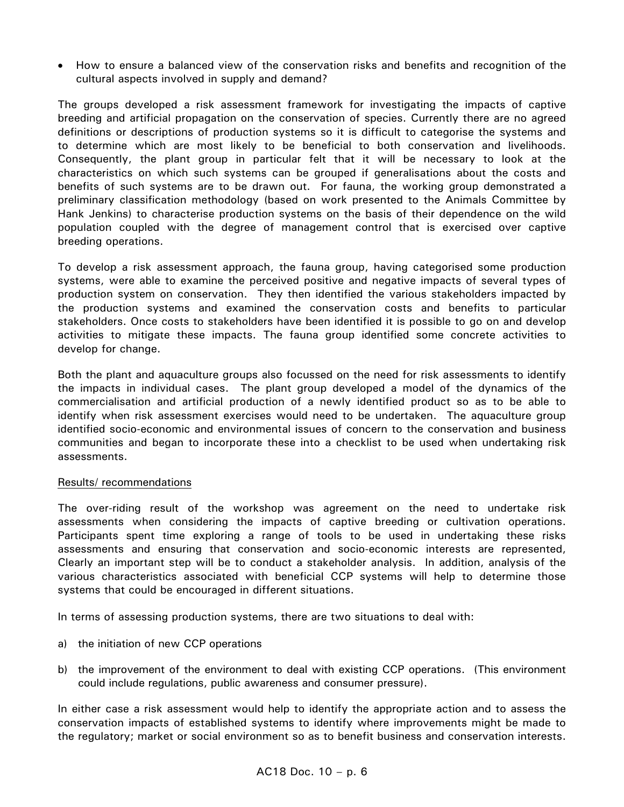• How to ensure a balanced view of the conservation risks and benefits and recognition of the cultural aspects involved in supply and demand?

The groups developed a risk assessment framework for investigating the impacts of captive breeding and artificial propagation on the conservation of species. Currently there are no agreed definitions or descriptions of production systems so it is difficult to categorise the systems and to determine which are most likely to be beneficial to both conservation and livelihoods. Consequently, the plant group in particular felt that it will be necessary to look at the characteristics on which such systems can be grouped if generalisations about the costs and benefits of such systems are to be drawn out. For fauna, the working group demonstrated a preliminary classification methodology (based on work presented to the Animals Committee by Hank Jenkins) to characterise production systems on the basis of their dependence on the wild population coupled with the degree of management control that is exercised over captive breeding operations.

To develop a risk assessment approach, the fauna group, having categorised some production systems, were able to examine the perceived positive and negative impacts of several types of production system on conservation. They then identified the various stakeholders impacted by the production systems and examined the conservation costs and benefits to particular stakeholders. Once costs to stakeholders have been identified it is possible to go on and develop activities to mitigate these impacts. The fauna group identified some concrete activities to develop for change.

Both the plant and aquaculture groups also focussed on the need for risk assessments to identify the impacts in individual cases. The plant group developed a model of the dynamics of the commercialisation and artificial production of a newly identified product so as to be able to identify when risk assessment exercises would need to be undertaken. The aquaculture group identified socio-economic and environmental issues of concern to the conservation and business communities and began to incorporate these into a checklist to be used when undertaking risk assessments.

#### Results/ recommendations

The over-riding result of the workshop was agreement on the need to undertake risk assessments when considering the impacts of captive breeding or cultivation operations. Participants spent time exploring a range of tools to be used in undertaking these risks assessments and ensuring that conservation and socio-economic interests are represented, Clearly an important step will be to conduct a stakeholder analysis. In addition, analysis of the various characteristics associated with beneficial CCP systems will help to determine those systems that could be encouraged in different situations.

In terms of assessing production systems, there are two situations to deal with:

- a) the initiation of new CCP operations
- b) the improvement of the environment to deal with existing CCP operations. (This environment could include regulations, public awareness and consumer pressure).

In either case a risk assessment would help to identify the appropriate action and to assess the conservation impacts of established systems to identify where improvements might be made to the regulatory; market or social environment so as to benefit business and conservation interests.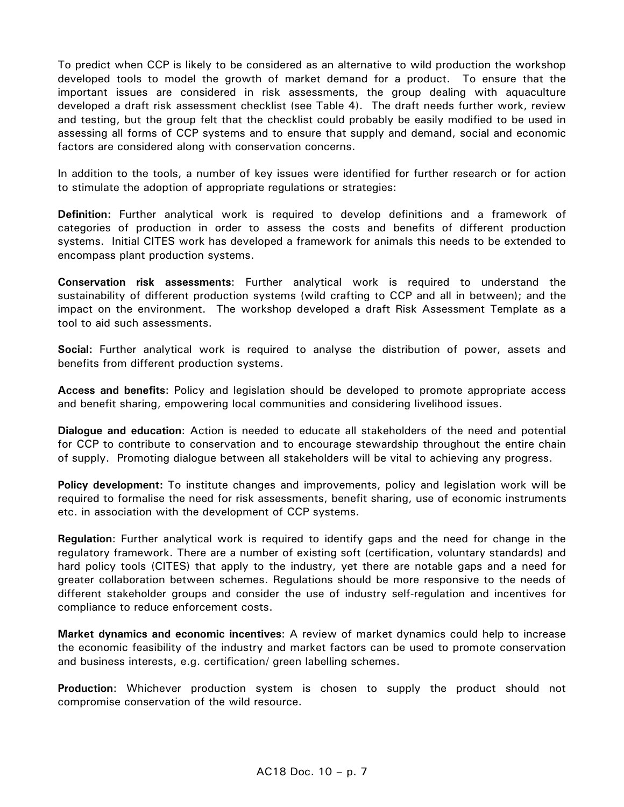To predict when CCP is likely to be considered as an alternative to wild production the workshop developed tools to model the growth of market demand for a product. To ensure that the important issues are considered in risk assessments, the group dealing with aquaculture developed a draft risk assessment checklist (see Table 4). The draft needs further work, review and testing, but the group felt that the checklist could probably be easily modified to be used in assessing all forms of CCP systems and to ensure that supply and demand, social and economic factors are considered along with conservation concerns.

In addition to the tools, a number of key issues were identified for further research or for action to stimulate the adoption of appropriate regulations or strategies:

**Definition:** Further analytical work is required to develop definitions and a framework of categories of production in order to assess the costs and benefits of different production systems. Initial CITES work has developed a framework for animals this needs to be extended to encompass plant production systems.

**Conservation risk assessments**: Further analytical work is required to understand the sustainability of different production systems (wild crafting to CCP and all in between); and the impact on the environment. The workshop developed a draft Risk Assessment Template as a tool to aid such assessments.

**Social:** Further analytical work is required to analyse the distribution of power, assets and benefits from different production systems.

**Access and benefits**: Policy and legislation should be developed to promote appropriate access and benefit sharing, empowering local communities and considering livelihood issues.

**Dialogue and education**: Action is needed to educate all stakeholders of the need and potential for CCP to contribute to conservation and to encourage stewardship throughout the entire chain of supply. Promoting dialogue between all stakeholders will be vital to achieving any progress.

**Policy development:** To institute changes and improvements, policy and legislation work will be required to formalise the need for risk assessments, benefit sharing, use of economic instruments etc. in association with the development of CCP systems.

**Regulation**: Further analytical work is required to identify gaps and the need for change in the regulatory framework. There are a number of existing soft (certification, voluntary standards) and hard policy tools (CITES) that apply to the industry, yet there are notable gaps and a need for greater collaboration between schemes. Regulations should be more responsive to the needs of different stakeholder groups and consider the use of industry self-regulation and incentives for compliance to reduce enforcement costs.

**Market dynamics and economic incentives**: A review of market dynamics could help to increase the economic feasibility of the industry and market factors can be used to promote conservation and business interests, e.g. certification/ green labelling schemes.

**Production**: Whichever production system is chosen to supply the product should not compromise conservation of the wild resource.